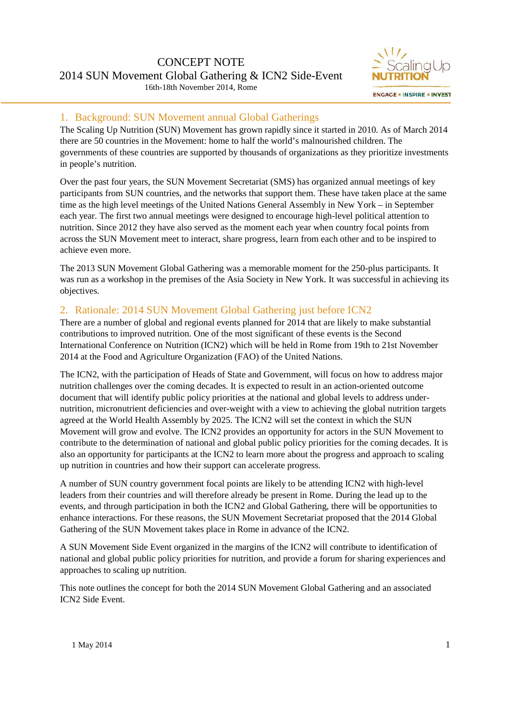

## 1. Background: SUN Movement annual Global Gatherings

The Scaling Up Nutrition (SUN) Movement has grown rapidly since it started in 2010. As of March 2014 there are 50 countries in the Movement: home to half the world's malnourished children. The governments of these countries are supported by thousands of organizations as they prioritize investments in people's nutrition.

Over the past four years, the SUN Movement Secretariat (SMS) has organized annual meetings of key participants from SUN countries, and the networks that support them. These have taken place at the same time as the high level meetings of the United Nations General Assembly in New York – in September each year. The first two annual meetings were designed to encourage high-level political attention to nutrition. Since 2012 they have also served as the moment each year when country focal points from across the SUN Movement meet to interact, share progress, learn from each other and to be inspired to achieve even more.

The 2013 SUN Movement Global Gathering was a memorable moment for the 250-plus participants. It was run as a workshop in the premises of the Asia Society in New York. It was successful in achieving its objectives.

## 2. Rationale: 2014 SUN Movement Global Gathering just before ICN2

There are a number of global and regional events planned for 2014 that are likely to make substantial contributions to improved nutrition. One of the most significant of these events is the Second International Conference on Nutrition (ICN2) which will be held in Rome from 19th to 21st November 2014 at the Food and Agriculture Organization (FAO) of the United Nations.

The ICN2, with the participation of Heads of State and Government, will focus on how to address major nutrition challenges over the coming decades. It is expected to result in an action-oriented outcome document that will identify public policy priorities at the national and global levels to address under nutrition, micronutrient deficiencies and over-weight with a view to achieving the global nutrition targets agreed at the World Health Assembly by 2025. The ICN2 will set the context in which the SUN Movement will grow and evolve. The ICN2 provides an opportunity for actors in the SUN Movement to contribute to the determination of national and global public policy priorities for the coming decades. It is also an opportunity for participants at the ICN2 to learn more about the progress and approach to scaling up nutrition in countries and how their support can accelerate progress.

A number of SUN country government focal points are likely to be attending ICN2 with high-level leaders from their countries and will therefore already be present in Rome. During the lead up to the events, and through participation in both the ICN2 and Global Gathering, there will be opportunities to enhance interactions. For these reasons, the SUN Movement Secretariat proposed that the 2014 Global Gathering of the SUN Movement takes place in Rome in advance of the ICN2.

A SUN Movement Side Event organized in the margins of the ICN2 will contribute to identification of national and global public policy priorities for nutrition, and provide a forum for sharing experiences and approaches to scaling up nutrition.

This note outlines the concept for both the 2014 SUN Movement Global Gathering and an associated ICN2 Side Event.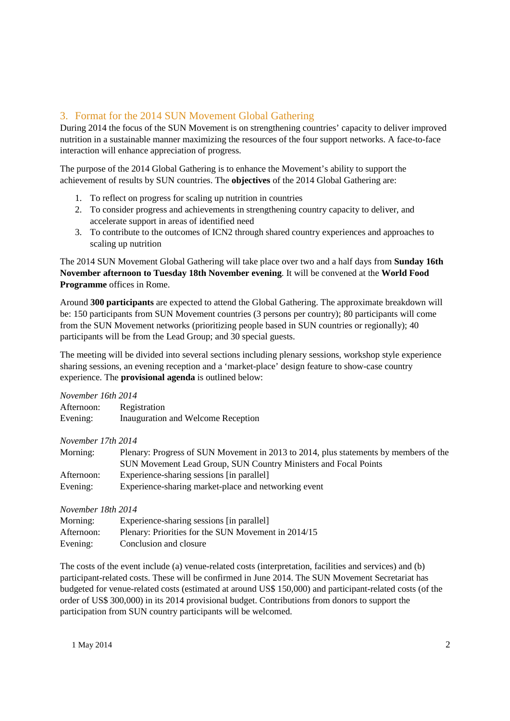## 3. Format for the 2014 SUN Movement Global Gathering

During 2014 the focus of the SUN Movement is on strengthening countries' capacity to deliver improved nutrition in a sustainable manner maximizing the resources of the four support networks. A face-to-face interaction will enhance appreciation of progress.

The purpose of the 2014 Global Gathering is to enhance the Movement's ability to support the achievement of results by SUN countries. The **objectives** of the 2014 Global Gathering are:

- 1. To reflect on progress for scaling up nutrition in countries
- 2. To consider progress and achievements in strengthening country capacity to deliver, and accelerate support in areas of identified need
- 3. To contribute to the outcomes of ICN2 through shared country experiences and approaches to scaling up nutrition

The 2014 SUN Movement Global Gathering will take place over two and a half days from **Sunday 16th November afternoon to Tuesday 18th November evening**. It will be convened at the **World Food Programme** offices in Rome.

Around **300 participants** are expected to attend the Global Gathering. The approximate breakdown will be: 150 participants from SUN Movement countries (3 persons per country); 80 participants will come from the SUN Movement networks (prioritizing people based in SUN countries or regionally); 40 participants will be from the Lead Group; and 30 special guests.

The meeting will be divided into several sections including plenary sessions, workshop style experience sharing sessions, an evening reception and a 'market-place' design feature to show-case country experience. The **provisional agenda** is outlined below:

| November 16th 2014 |                                                                                      |
|--------------------|--------------------------------------------------------------------------------------|
| Afternoon:         | Registration                                                                         |
| Evening:           | Inauguration and Welcome Reception                                                   |
| November 17th 2014 |                                                                                      |
| Morning:           | Plenary: Progress of SUN Movement in 2013 to 2014, plus statements by members of the |
|                    | SUN Movement Lead Group, SUN Country Ministers and Focal Points                      |
| Afternoon:         | Experience-sharing sessions [in parallel]                                            |
| Evening:           | Experience-sharing market-place and networking event                                 |
| November 18th 2014 |                                                                                      |

| Morning:   | Experience-sharing sessions [in parallel]           |
|------------|-----------------------------------------------------|
| Afternoon: | Plenary: Priorities for the SUN Movement in 2014/15 |
| Evening:   | Conclusion and closure                              |

The costs of the event include (a) venue-related costs (interpretation, facilities and services) and (b) participant-related costs. These will be confirmed in June 2014. The SUN Movement Secretariat has budgeted for venue-related costs (estimated at around US\$ 150,000) and participant-related costs (of the order of US\$ 300,000) in its 2014 provisional budget. Contributions from donors to support the participation from SUN country participants will be welcomed.